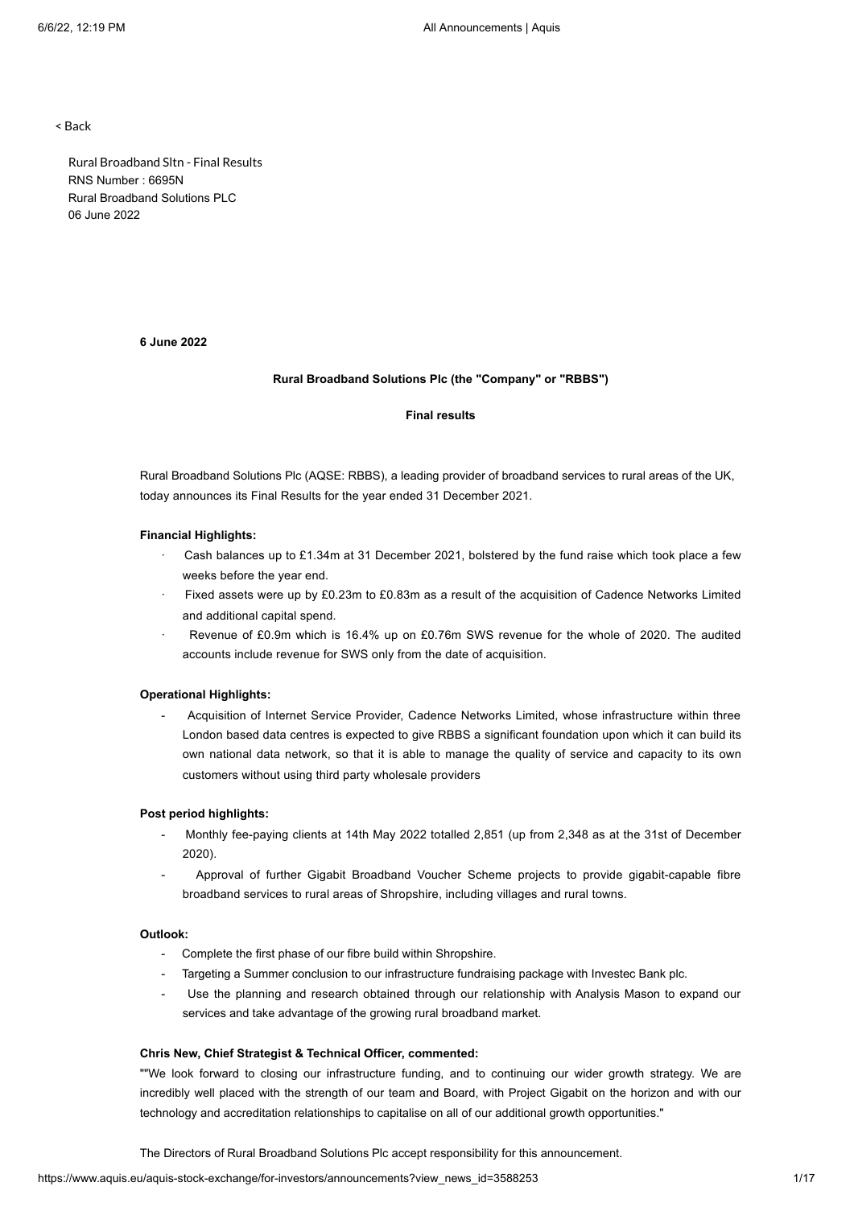< Back

Rural Broadband Sltn - Final Results RNS Number : 6695N Rural Broadband Solutions PLC 06 June 2022

# **6 June 2022**

### **Rural Broadband Solutions Plc (the "Company" or "RBBS")**

## **Final results**

Rural Broadband Solutions Plc (AQSE: RBBS), a leading provider of broadband services to rural areas of the UK, today announces its Final Results for the year ended 31 December 2021.

### **Financial Highlights:**

- · Cash balances up to £1.34m at 31 December 2021, bolstered by the fund raise which took place a few weeks before the year end.
- Fixed assets were up by £0.23m to £0.83m as a result of the acquisition of Cadence Networks Limited and additional capital spend.
- Revenue of £0.9m which is 16.4% up on £0.76m SWS revenue for the whole of 2020. The audited accounts include revenue for SWS only from the date of acquisition.

#### **Operational Highlights:**

- Acquisition of Internet Service Provider, Cadence Networks Limited, whose infrastructure within three London based data centres is expected to give RBBS a significant foundation upon which it can build its own national data network, so that it is able to manage the quality of service and capacity to its own customers without using third party wholesale providers

### **Post period highlights:**

- Monthly fee-paying clients at 14th May 2022 totalled 2,851 (up from 2,348 as at the 31st of December 2020).
- Approval of further Gigabit Broadband Voucher Scheme projects to provide gigabit-capable fibre broadband services to rural areas of Shropshire, including villages and rural towns.

# **Outlook:**

- Complete the first phase of our fibre build within Shropshire.
- Targeting a Summer conclusion to our infrastructure fundraising package with Investec Bank plc.
- Use the planning and research obtained through our relationship with Analysis Mason to expand our services and take advantage of the growing rural broadband market.

#### **Chris New, Chief Strategist & Technical Officer, commented:**

""We look forward to closing our infrastructure funding, and to continuing our wider growth strategy. We are incredibly well placed with the strength of our team and Board, with Project Gigabit on the horizon and with our technology and accreditation relationships to capitalise on all of our additional growth opportunities."

The Directors of Rural Broadband Solutions Plc accept responsibility for this announcement.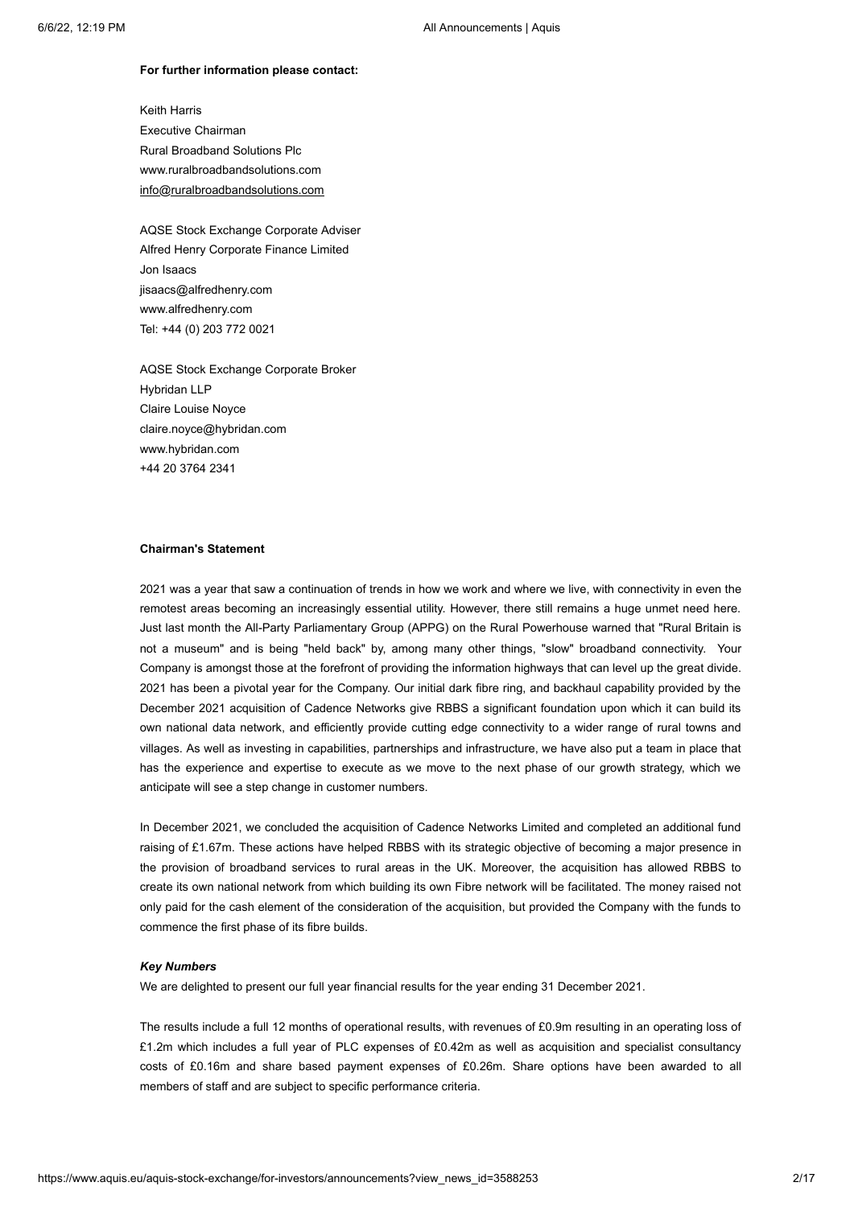#### **For further information please contact:**

Keith Harris Executive Chairman Rural Broadband Solutions Plc www.ruralbroadbandsolutions.com info@ruralbroadbandsolutions.com

AQSE Stock Exchange Corporate Adviser Alfred Henry Corporate Finance Limited Jon Isaacs jisaacs@alfredhenry.com www.alfredhenry.com Tel: +44 (0) 203 772 0021

AQSE Stock Exchange Corporate Broker Hybridan LLP Claire Louise Noyce claire.noyce@hybridan.com www.hybridan.com +44 20 3764 2341

### **Chairman's Statement**

2021 was a year that saw a continuation of trends in how we work and where we live, with connectivity in even the remotest areas becoming an increasingly essential utility. However, there still remains a huge unmet need here. Just last month the All-Party Parliamentary Group (APPG) on the Rural Powerhouse warned that "Rural Britain is not a museum" and is being "held back" by, among many other things, "slow" broadband connectivity. Your Company is amongst those at the forefront of providing the information highways that can level up the great divide. 2021 has been a pivotal year for the Company. Our initial dark fibre ring, and backhaul capability provided by the December 2021 acquisition of Cadence Networks give RBBS a significant foundation upon which it can build its own national data network, and efficiently provide cutting edge connectivity to a wider range of rural towns and villages. As well as investing in capabilities, partnerships and infrastructure, we have also put a team in place that has the experience and expertise to execute as we move to the next phase of our growth strategy, which we anticipate will see a step change in customer numbers.

In December 2021, we concluded the acquisition of Cadence Networks Limited and completed an additional fund raising of £1.67m. These actions have helped RBBS with its strategic objective of becoming a major presence in the provision of broadband services to rural areas in the UK. Moreover, the acquisition has allowed RBBS to create its own national network from which building its own Fibre network will be facilitated. The money raised not only paid for the cash element of the consideration of the acquisition, but provided the Company with the funds to commence the first phase of its fibre builds.

### *Key Numbers*

We are delighted to present our full year financial results for the year ending 31 December 2021.

The results include a full 12 months of operational results, with revenues of £0.9m resulting in an operating loss of £1.2m which includes a full year of PLC expenses of £0.42m as well as acquisition and specialist consultancy costs of £0.16m and share based payment expenses of £0.26m. Share options have been awarded to all members of staff and are subject to specific performance criteria.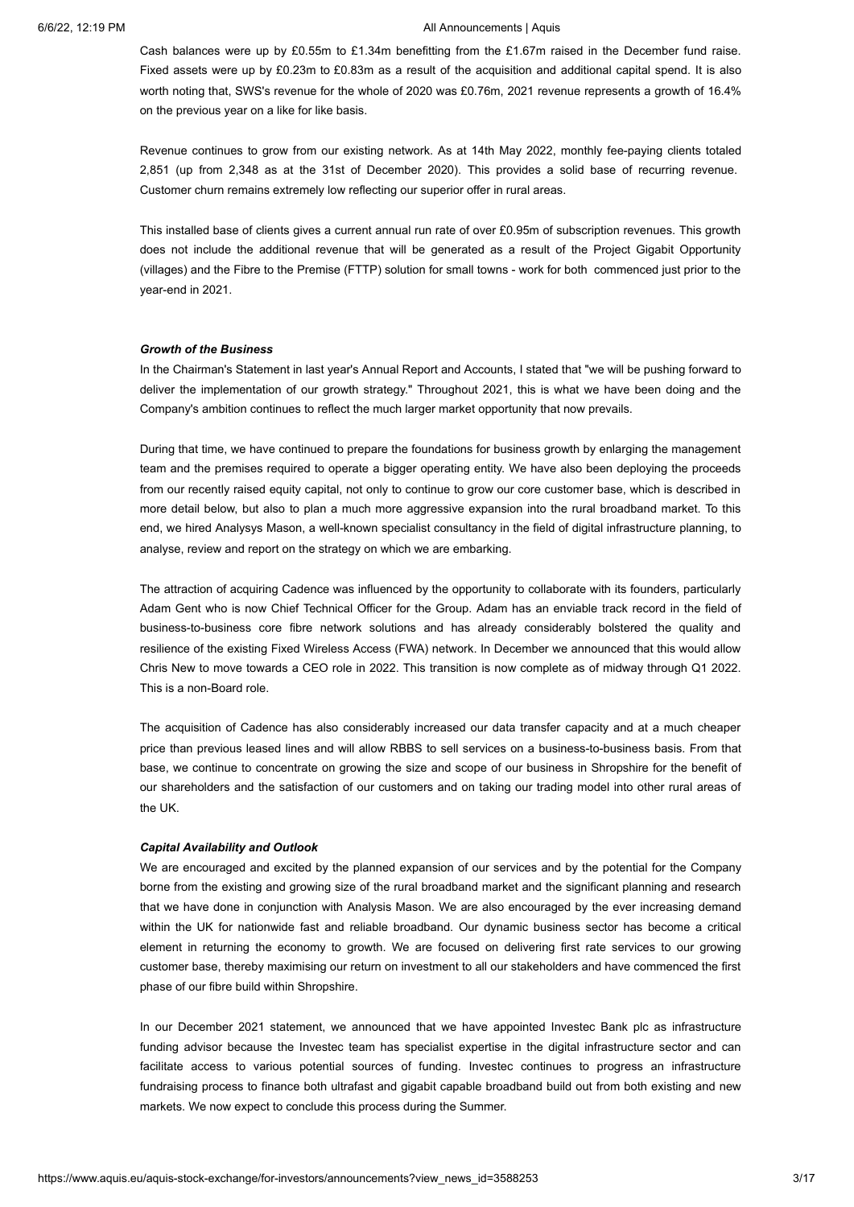Cash balances were up by £0.55m to £1.34m benefitting from the £1.67m raised in the December fund raise. Fixed assets were up by £0.23m to £0.83m as a result of the acquisition and additional capital spend. It is also worth noting that, SWS's revenue for the whole of 2020 was £0.76m, 2021 revenue represents a growth of 16.4% on the previous year on a like for like basis.

Revenue continues to grow from our existing network. As at 14th May 2022, monthly fee-paying clients totaled 2,851 (up from 2,348 as at the 31st of December 2020). This provides a solid base of recurring revenue. Customer churn remains extremely low reflecting our superior offer in rural areas.

This installed base of clients gives a current annual run rate of over £0.95m of subscription revenues. This growth does not include the additional revenue that will be generated as a result of the Project Gigabit Opportunity (villages) and the Fibre to the Premise (FTTP) solution for small towns - work for both commenced just prior to the year-end in 2021.

#### *Growth of the Business*

In the Chairman's Statement in last year's Annual Report and Accounts, I stated that "we will be pushing forward to deliver the implementation of our growth strategy." Throughout 2021, this is what we have been doing and the Company's ambition continues to reflect the much larger market opportunity that now prevails.

During that time, we have continued to prepare the foundations for business growth by enlarging the management team and the premises required to operate a bigger operating entity. We have also been deploying the proceeds from our recently raised equity capital, not only to continue to grow our core customer base, which is described in more detail below, but also to plan a much more aggressive expansion into the rural broadband market. To this end, we hired Analysys Mason, a well-known specialist consultancy in the field of digital infrastructure planning, to analyse, review and report on the strategy on which we are embarking.

The attraction of acquiring Cadence was influenced by the opportunity to collaborate with its founders, particularly Adam Gent who is now Chief Technical Officer for the Group. Adam has an enviable track record in the field of business-to-business core fibre network solutions and has already considerably bolstered the quality and resilience of the existing Fixed Wireless Access (FWA) network. In December we announced that this would allow Chris New to move towards a CEO role in 2022. This transition is now complete as of midway through Q1 2022. This is a non-Board role.

The acquisition of Cadence has also considerably increased our data transfer capacity and at a much cheaper price than previous leased lines and will allow RBBS to sell services on a business-to-business basis. From that base, we continue to concentrate on growing the size and scope of our business in Shropshire for the benefit of our shareholders and the satisfaction of our customers and on taking our trading model into other rural areas of the UK.

#### *Capital Availability and Outlook*

We are encouraged and excited by the planned expansion of our services and by the potential for the Company borne from the existing and growing size of the rural broadband market and the significant planning and research that we have done in conjunction with Analysis Mason. We are also encouraged by the ever increasing demand within the UK for nationwide fast and reliable broadband. Our dynamic business sector has become a critical element in returning the economy to growth. We are focused on delivering first rate services to our growing customer base, thereby maximising our return on investment to all our stakeholders and have commenced the first phase of our fibre build within Shropshire.

In our December 2021 statement, we announced that we have appointed Investec Bank plc as infrastructure funding advisor because the Investec team has specialist expertise in the digital infrastructure sector and can facilitate access to various potential sources of funding. Investec continues to progress an infrastructure fundraising process to finance both ultrafast and gigabit capable broadband build out from both existing and new markets. We now expect to conclude this process during the Summer.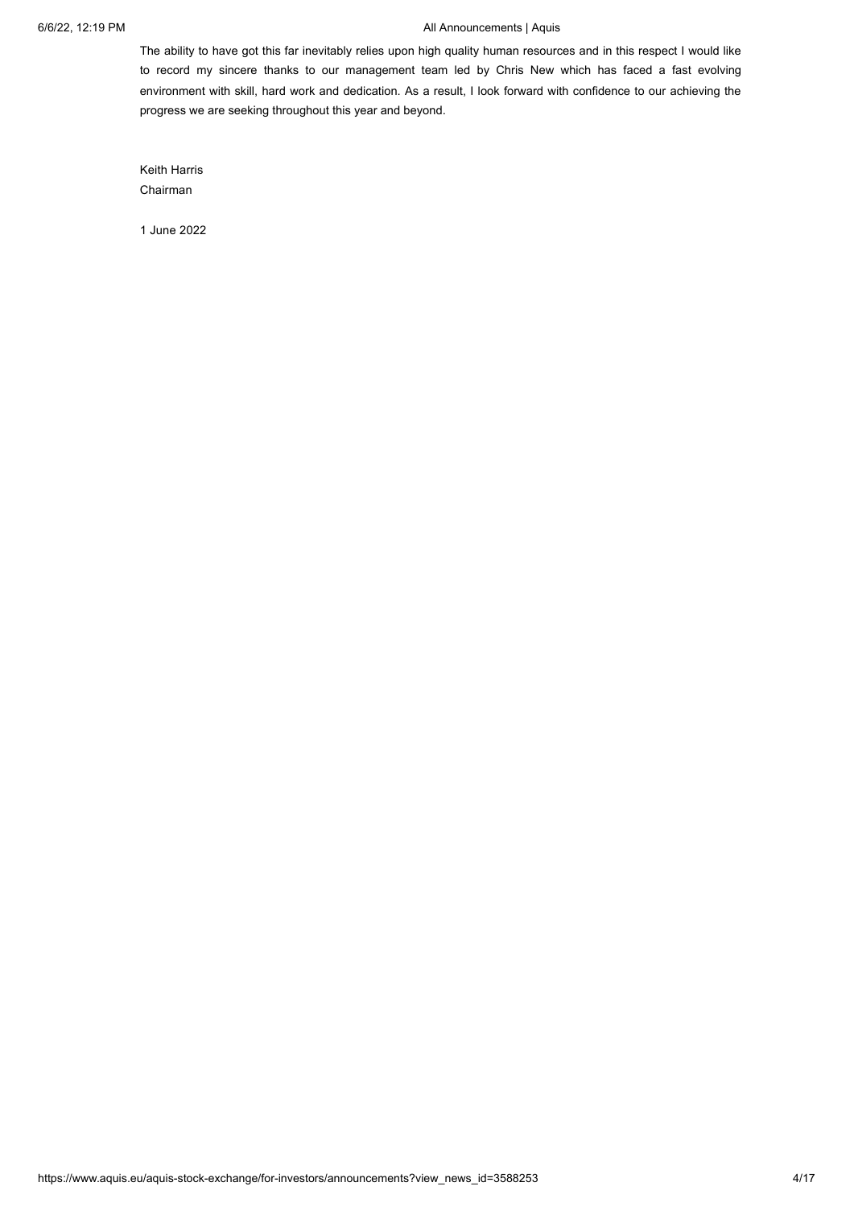The ability to have got this far inevitably relies upon high quality human resources and in this respect I would like to record my sincere thanks to our management team led by Chris New which has faced a fast evolving environment with skill, hard work and dedication. As a result, I look forward with confidence to our achieving the progress we are seeking throughout this year and beyond.

Keith Harris Chairman

1 June 2022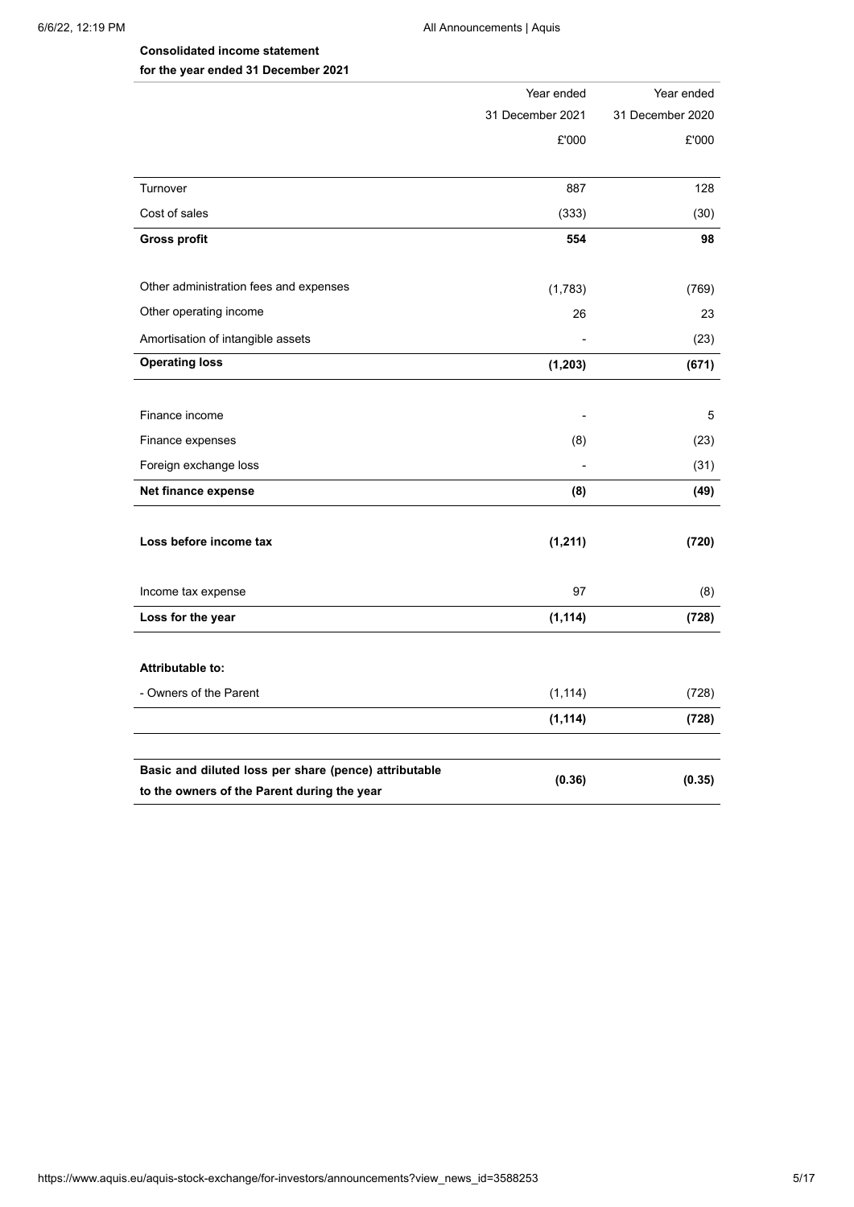# **Consolidated income statement for the year ended 31 December 2021**

|                                                       | Year ended               | Year ended       |
|-------------------------------------------------------|--------------------------|------------------|
|                                                       | 31 December 2021         | 31 December 2020 |
|                                                       | £'000                    | £'000            |
|                                                       |                          |                  |
| Turnover                                              | 887                      | 128              |
| Cost of sales                                         | (333)                    | (30)             |
| <b>Gross profit</b>                                   | 554                      | 98               |
|                                                       |                          |                  |
| Other administration fees and expenses                | (1,783)                  | (769)            |
| Other operating income                                | 26                       | 23               |
| Amortisation of intangible assets                     |                          | (23)             |
| <b>Operating loss</b>                                 | (1, 203)                 | (671)            |
|                                                       |                          |                  |
| Finance income                                        | $\overline{\phantom{m}}$ | 5                |
| Finance expenses                                      | (8)                      | (23)             |
| Foreign exchange loss                                 |                          | (31)             |
| Net finance expense                                   | (8)                      | (49)             |
|                                                       |                          |                  |
| Loss before income tax                                | (1, 211)                 | (720)            |
|                                                       |                          |                  |
| Income tax expense                                    | 97                       | (8)              |
| Loss for the year                                     | (1, 114)                 | (728)            |
|                                                       |                          |                  |
| <b>Attributable to:</b>                               |                          |                  |
| - Owners of the Parent                                | (1, 114)                 | (728)            |
|                                                       | (1, 114)                 | (728)            |
|                                                       |                          |                  |
| Basic and diluted loss per share (pence) attributable | (0.36)                   | (0.35)           |
| to the owners of the Parent during the year           |                          |                  |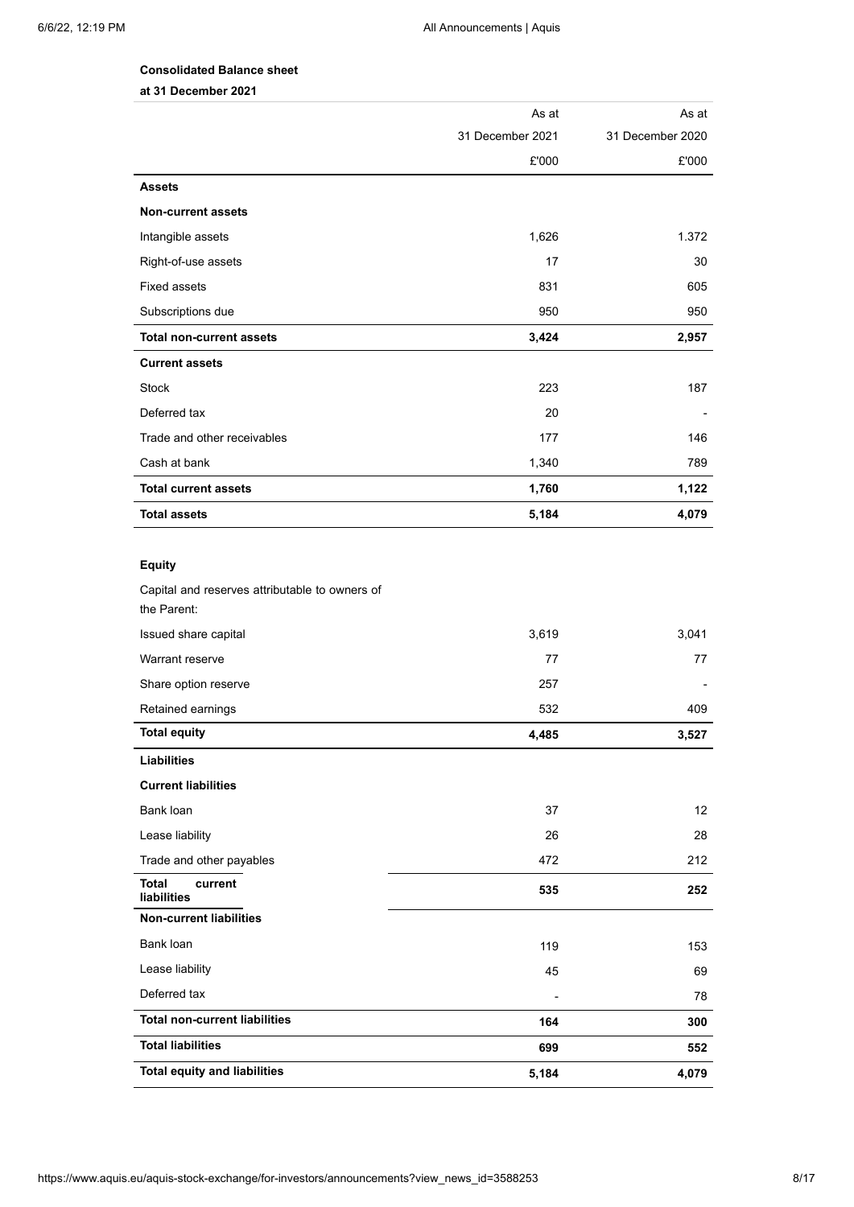# **Consolidated Balance sheet**

**at 31 December 2021**

|                                                | As at            | As at            |
|------------------------------------------------|------------------|------------------|
|                                                | 31 December 2021 | 31 December 2020 |
|                                                | £'000            | £'000            |
| <b>Assets</b>                                  |                  |                  |
| <b>Non-current assets</b>                      |                  |                  |
| Intangible assets                              | 1,626            | 1.372            |
| Right-of-use assets                            | 17               | 30               |
| <b>Fixed assets</b>                            | 831              | 605              |
| Subscriptions due                              | 950              | 950              |
| <b>Total non-current assets</b>                | 3,424            | 2,957            |
| <b>Current assets</b>                          |                  |                  |
| <b>Stock</b>                                   | 223              | 187              |
| Deferred tax                                   | 20               |                  |
| Trade and other receivables                    | 177              | 146              |
| Cash at bank                                   | 1,340            | 789              |
| <b>Total current assets</b>                    | 1,760            | 1,122            |
| <b>Total assets</b>                            | 5,184            | 4,079            |
|                                                |                  |                  |
| <b>Equity</b>                                  |                  |                  |
| Capital and reserves attributable to owners of |                  |                  |
| the Parent:                                    |                  |                  |
| Issued share capital                           | 3,619            | 3,041            |
| Warrant reserve                                | 77               | 77               |
| Share option reserve                           | 257              |                  |
| Retained earnings                              | 532              | 409              |
| <b>Total equity</b>                            | 4,485            | 3,527            |
| <b>Liabilities</b>                             |                  |                  |
| <b>Current liabilities</b>                     |                  |                  |
| Bank loan                                      | 37               | 12               |
| Lease liability                                | 26               | 28               |
| Trade and other payables                       | 472              | 212              |
| <b>Total</b><br>current<br>liabilities         | 535              | 252              |
| <b>Non-current liabilities</b>                 |                  |                  |
| Bank loan                                      | 119              | 153              |
| Lease liability                                | 45               | 69               |
| Deferred tax                                   |                  | 78               |
| <b>Total non-current liabilities</b>           | 164              | 300              |
| <b>Total liabilities</b>                       | 699              | 552              |
| <b>Total equity and liabilities</b>            | 5,184            | 4,079            |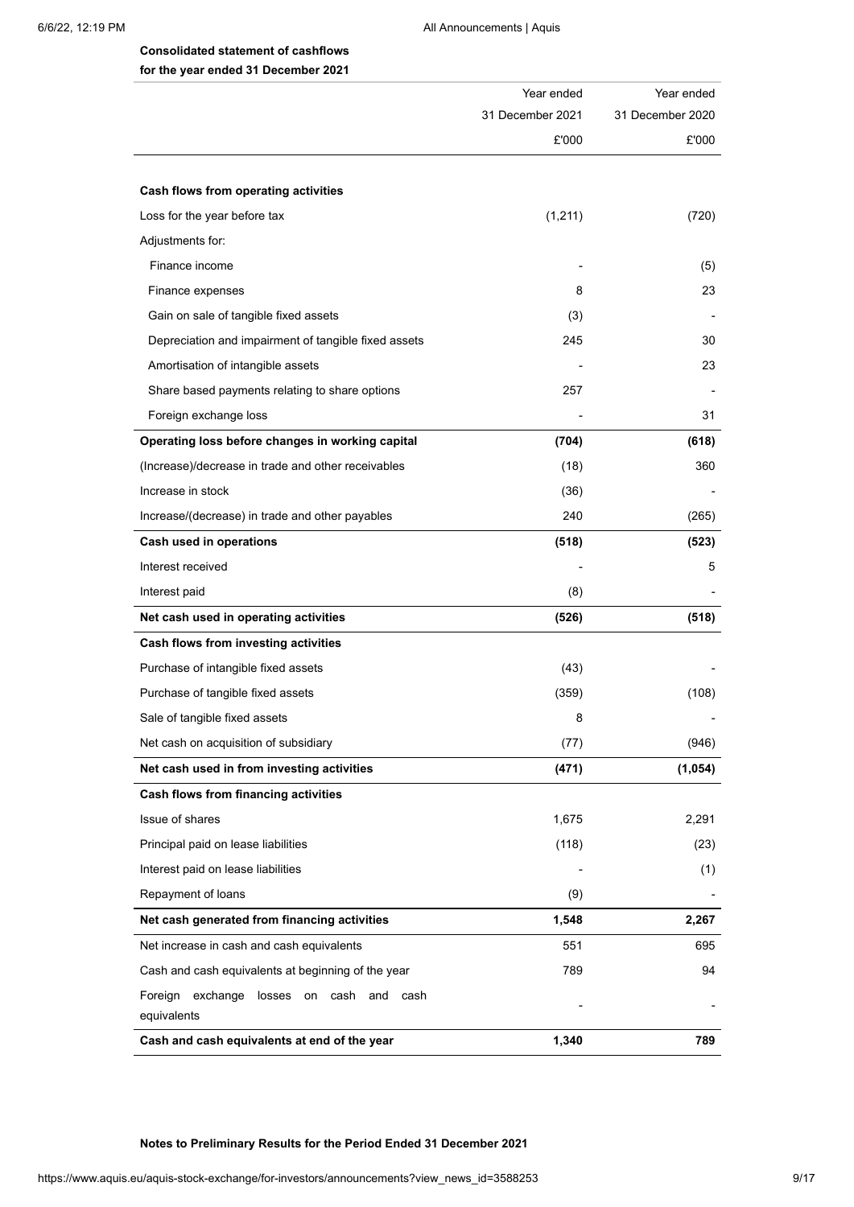# **Consolidated statement of cashflows for the year ended 31 December 2021**

|                                                                  | Year ended       | Year ended       |
|------------------------------------------------------------------|------------------|------------------|
|                                                                  | 31 December 2021 | 31 December 2020 |
|                                                                  | £'000            | £'000            |
| Cash flows from operating activities                             |                  |                  |
| Loss for the year before tax                                     | (1,211)          | (720)            |
| Adjustments for:                                                 |                  |                  |
| Finance income                                                   |                  | (5)              |
| Finance expenses                                                 | 8                | 23               |
| Gain on sale of tangible fixed assets                            | (3)              |                  |
| Depreciation and impairment of tangible fixed assets             | 245              | 30               |
| Amortisation of intangible assets                                |                  | 23               |
| Share based payments relating to share options                   | 257              |                  |
| Foreign exchange loss                                            |                  | 31               |
| Operating loss before changes in working capital                 | (704)            | (618)            |
| (Increase)/decrease in trade and other receivables               | (18)             | 360              |
| Increase in stock                                                | (36)             |                  |
| Increase/(decrease) in trade and other payables                  | 240              | (265)            |
| Cash used in operations                                          | (518)            | (523)            |
| Interest received                                                |                  | 5                |
| Interest paid                                                    | (8)              |                  |
| Net cash used in operating activities                            | (526)            | (518)            |
| Cash flows from investing activities                             |                  |                  |
| Purchase of intangible fixed assets                              | (43)             |                  |
| Purchase of tangible fixed assets                                | (359)            | (108)            |
| Sale of tangible fixed assets                                    | 8                |                  |
| Net cash on acquisition of subsidiary                            | (77)             | (946)            |
| Net cash used in from investing activities                       | (471)            | (1,054)          |
| Cash flows from financing activities                             |                  |                  |
| Issue of shares                                                  | 1,675            | 2,291            |
| Principal paid on lease liabilities                              | (118)            | (23)             |
| Interest paid on lease liabilities                               |                  | (1)              |
| Repayment of loans                                               | (9)              |                  |
| Net cash generated from financing activities                     | 1,548            | 2,267            |
| Net increase in cash and cash equivalents                        | 551              | 695              |
| Cash and cash equivalents at beginning of the year               | 789              | 94               |
| Foreign exchange losses on<br>cash<br>and<br>cash<br>equivalents |                  |                  |
| Cash and cash equivalents at end of the year                     | 1,340            | 789              |

**Notes to Preliminary Results for the Period Ended 31 December 2021**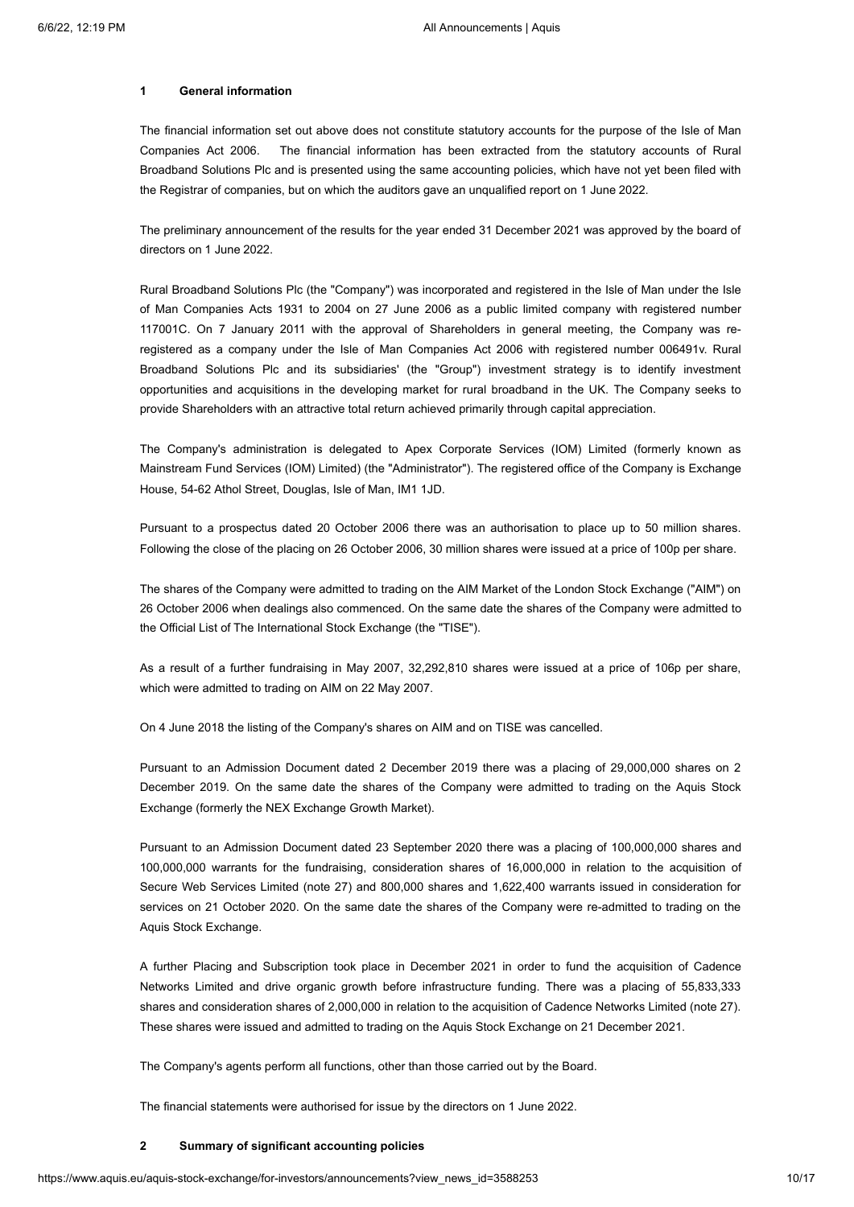# **1 General information**

The financial information set out above does not constitute statutory accounts for the purpose of the Isle of Man Companies Act 2006. The financial information has been extracted from the statutory accounts of Rural Broadband Solutions Plc and is presented using the same accounting policies, which have not yet been filed with the Registrar of companies, but on which the auditors gave an unqualified report on 1 June 2022.

The preliminary announcement of the results for the year ended 31 December 2021 was approved by the board of directors on 1 June 2022.

Rural Broadband Solutions Plc (the "Company") was incorporated and registered in the Isle of Man under the Isle of Man Companies Acts 1931 to 2004 on 27 June 2006 as a public limited company with registered number 117001C. On 7 January 2011 with the approval of Shareholders in general meeting, the Company was reregistered as a company under the Isle of Man Companies Act 2006 with registered number 006491v. Rural Broadband Solutions Plc and its subsidiaries' (the "Group") investment strategy is to identify investment opportunities and acquisitions in the developing market for rural broadband in the UK. The Company seeks to provide Shareholders with an attractive total return achieved primarily through capital appreciation.

The Company's administration is delegated to Apex Corporate Services (IOM) Limited (formerly known as Mainstream Fund Services (IOM) Limited) (the "Administrator"). The registered office of the Company is Exchange House, 54-62 Athol Street, Douglas, Isle of Man, IM1 1JD.

Pursuant to a prospectus dated 20 October 2006 there was an authorisation to place up to 50 million shares. Following the close of the placing on 26 October 2006, 30 million shares were issued at a price of 100p per share.

The shares of the Company were admitted to trading on the AIM Market of the London Stock Exchange ("AIM") on 26 October 2006 when dealings also commenced. On the same date the shares of the Company were admitted to the Official List of The International Stock Exchange (the "TISE").

As a result of a further fundraising in May 2007, 32,292,810 shares were issued at a price of 106p per share, which were admitted to trading on AIM on 22 May 2007.

On 4 June 2018 the listing of the Company's shares on AIM and on TISE was cancelled.

Pursuant to an Admission Document dated 2 December 2019 there was a placing of 29,000,000 shares on 2 December 2019. On the same date the shares of the Company were admitted to trading on the Aquis Stock Exchange (formerly the NEX Exchange Growth Market).

Pursuant to an Admission Document dated 23 September 2020 there was a placing of 100,000,000 shares and 100,000,000 warrants for the fundraising, consideration shares of 16,000,000 in relation to the acquisition of Secure Web Services Limited (note 27) and 800,000 shares and 1,622,400 warrants issued in consideration for services on 21 October 2020. On the same date the shares of the Company were re-admitted to trading on the Aquis Stock Exchange.

A further Placing and Subscription took place in December 2021 in order to fund the acquisition of Cadence Networks Limited and drive organic growth before infrastructure funding. There was a placing of 55,833,333 shares and consideration shares of 2,000,000 in relation to the acquisition of Cadence Networks Limited (note 27). These shares were issued and admitted to trading on the Aquis Stock Exchange on 21 December 2021.

The Company's agents perform all functions, other than those carried out by the Board.

The financial statements were authorised for issue by the directors on 1 June 2022.

### **2 Summary of significant accounting policies**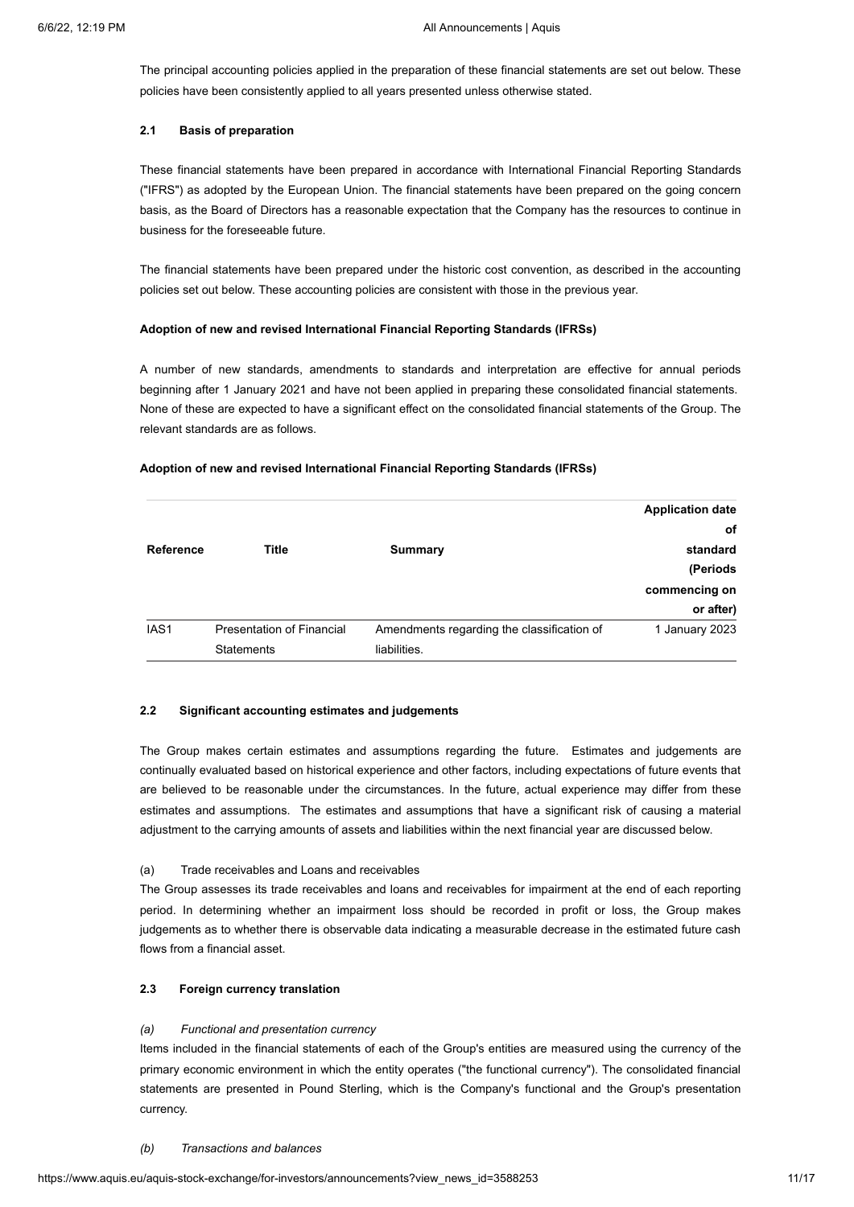The principal accounting policies applied in the preparation of these financial statements are set out below. These policies have been consistently applied to all years presented unless otherwise stated.

### **2.1 Basis of preparation**

These financial statements have been prepared in accordance with International Financial Reporting Standards ("IFRS") as adopted by the European Union. The financial statements have been prepared on the going concern basis, as the Board of Directors has a reasonable expectation that the Company has the resources to continue in business for the foreseeable future.

The financial statements have been prepared under the historic cost convention, as described in the accounting policies set out below. These accounting policies are consistent with those in the previous year.

### **Adoption of new and revised International Financial Reporting Standards (IFRSs)**

A number of new standards, amendments to standards and interpretation are effective for annual periods beginning after 1 January 2021 and have not been applied in preparing these consolidated financial statements. None of these are expected to have a significant effect on the consolidated financial statements of the Group. The relevant standards are as follows.

|                  |                           |                                            | <b>Application date</b> |
|------------------|---------------------------|--------------------------------------------|-------------------------|
|                  |                           |                                            | оf                      |
| Reference        | <b>Title</b>              | Summary                                    | standard                |
|                  |                           |                                            | (Periods                |
|                  |                           |                                            | commencing on           |
|                  |                           |                                            | or after)               |
| IAS <sub>1</sub> | Presentation of Financial | Amendments regarding the classification of | 1 January 2023          |
|                  | <b>Statements</b>         | liabilities.                               |                         |

### **Adoption of new and revised International Financial Reporting Standards (IFRSs)**

# **2.2 Significant accounting estimates and judgements**

The Group makes certain estimates and assumptions regarding the future. Estimates and judgements are continually evaluated based on historical experience and other factors, including expectations of future events that are believed to be reasonable under the circumstances. In the future, actual experience may differ from these estimates and assumptions. The estimates and assumptions that have a significant risk of causing a material adjustment to the carrying amounts of assets and liabilities within the next financial year are discussed below.

# (a) Trade receivables and Loans and receivables

The Group assesses its trade receivables and loans and receivables for impairment at the end of each reporting period. In determining whether an impairment loss should be recorded in profit or loss, the Group makes judgements as to whether there is observable data indicating a measurable decrease in the estimated future cash flows from a financial asset.

# **2.3 Foreign currency translation**

# *(a) Functional and presentation currency*

Items included in the financial statements of each of the Group's entities are measured using the currency of the primary economic environment in which the entity operates ("the functional currency"). The consolidated financial statements are presented in Pound Sterling, which is the Company's functional and the Group's presentation currency.

### *(b) Transactions and balances*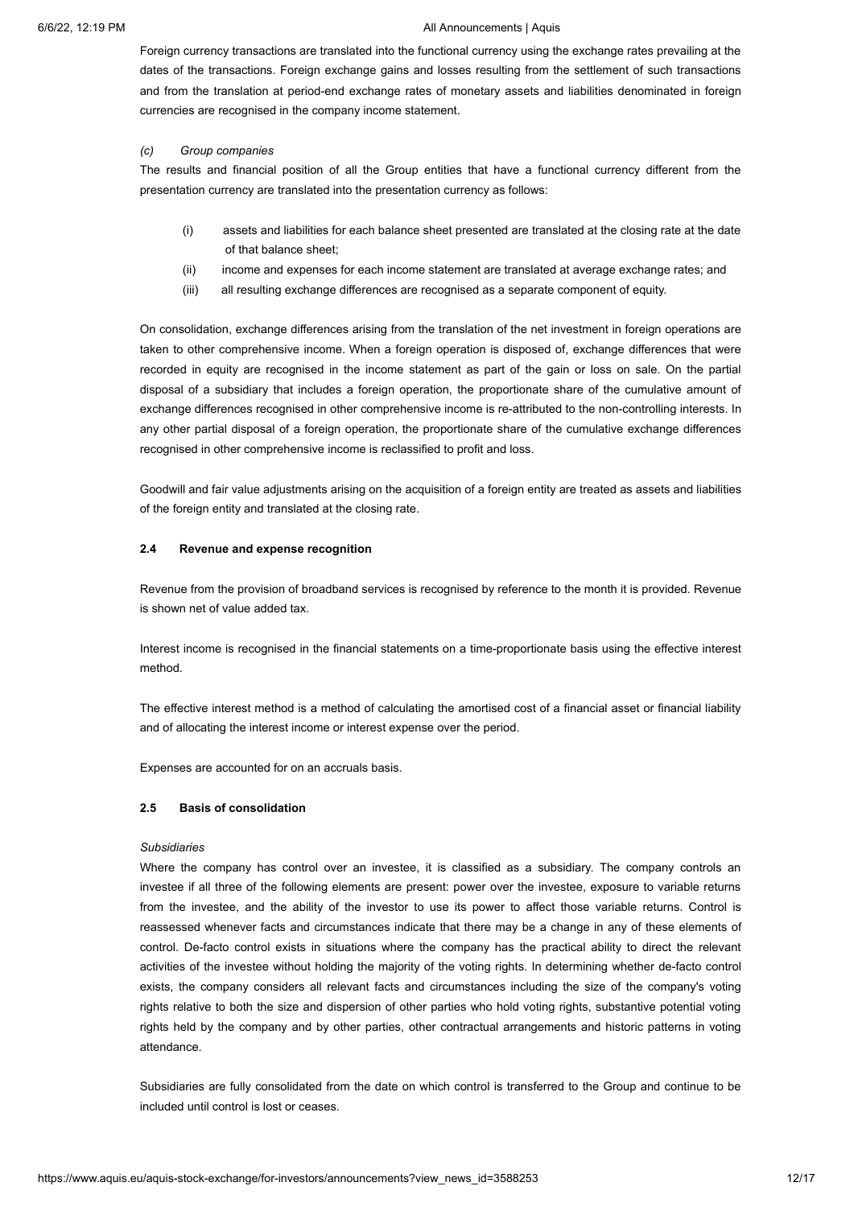Foreign currency transactions are translated into the functional currency using the exchange rates prevailing at the dates of the transactions. Foreign exchange gains and losses resulting from the settlement of such transactions and from the translation at period-end exchange rates of monetary assets and liabilities denominated in foreign currencies are recognised in the company income statement.

### *(c) Group companies*

The results and financial position of all the Group entities that have a functional currency different from the presentation currency are translated into the presentation currency as follows:

- (i) assets and liabilities for each balance sheet presented are translated at the closing rate at the date of that balance sheet;
- (ii) income and expenses for each income statement are translated at average exchange rates; and
- (iii) all resulting exchange differences are recognised as a separate component of equity.

On consolidation, exchange differences arising from the translation of the net investment in foreign operations are taken to other comprehensive income. When a foreign operation is disposed of, exchange differences that were recorded in equity are recognised in the income statement as part of the gain or loss on sale. On the partial disposal of a subsidiary that includes a foreign operation, the proportionate share of the cumulative amount of exchange differences recognised in other comprehensive income is re-attributed to the non-controlling interests. In any other partial disposal of a foreign operation, the proportionate share of the cumulative exchange differences recognised in other comprehensive income is reclassified to profit and loss.

Goodwill and fair value adjustments arising on the acquisition of a foreign entity are treated as assets and liabilities of the foreign entity and translated at the closing rate.

### **2.4 Revenue and expense recognition**

Revenue from the provision of broadband services is recognised by reference to the month it is provided. Revenue is shown net of value added tax.

Interest income is recognised in the financial statements on a time-proportionate basis using the effective interest method.

The effective interest method is a method of calculating the amortised cost of a financial asset or financial liability and of allocating the interest income or interest expense over the period.

Expenses are accounted for on an accruals basis.

### **2.5 Basis of consolidation**

### *Subsidiaries*

Where the company has control over an investee, it is classified as a subsidiary. The company controls an investee if all three of the following elements are present: power over the investee, exposure to variable returns from the investee, and the ability of the investor to use its power to affect those variable returns. Control is reassessed whenever facts and circumstances indicate that there may be a change in any of these elements of control. De-facto control exists in situations where the company has the practical ability to direct the relevant activities of the investee without holding the majority of the voting rights. In determining whether de-facto control exists, the company considers all relevant facts and circumstances including the size of the company's voting rights relative to both the size and dispersion of other parties who hold voting rights, substantive potential voting rights held by the company and by other parties, other contractual arrangements and historic patterns in voting attendance.

Subsidiaries are fully consolidated from the date on which control is transferred to the Group and continue to be included until control is lost or ceases.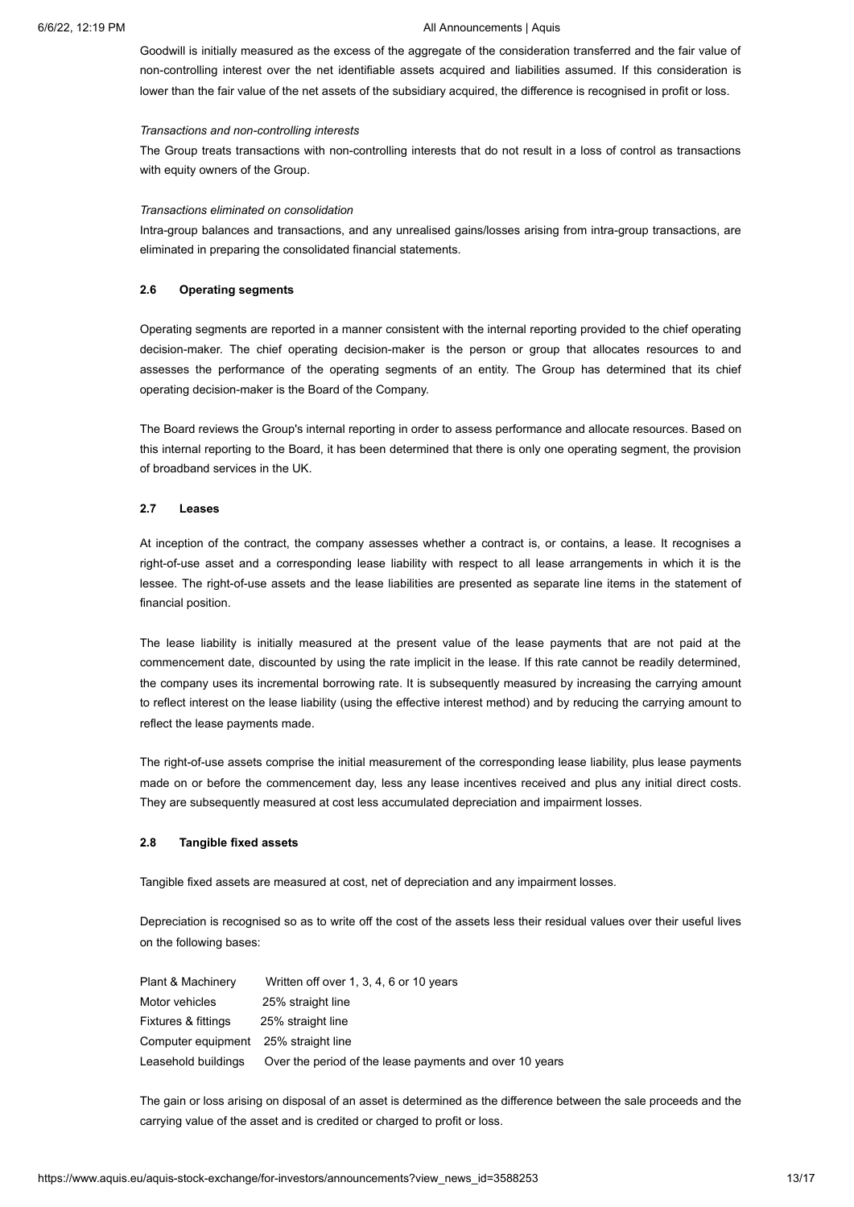Goodwill is initially measured as the excess of the aggregate of the consideration transferred and the fair value of non-controlling interest over the net identifiable assets acquired and liabilities assumed. If this consideration is lower than the fair value of the net assets of the subsidiary acquired, the difference is recognised in profit or loss.

#### *Transactions and non-controlling interests*

The Group treats transactions with non-controlling interests that do not result in a loss of control as transactions with equity owners of the Group.

#### *Transactions eliminated on consolidation*

Intra-group balances and transactions, and any unrealised gains/losses arising from intra-group transactions, are eliminated in preparing the consolidated financial statements.

### **2.6 Operating segments**

Operating segments are reported in a manner consistent with the internal reporting provided to the chief operating decision-maker. The chief operating decision-maker is the person or group that allocates resources to and assesses the performance of the operating segments of an entity. The Group has determined that its chief operating decision-maker is the Board of the Company.

The Board reviews the Group's internal reporting in order to assess performance and allocate resources. Based on this internal reporting to the Board, it has been determined that there is only one operating segment, the provision of broadband services in the UK.

# **2.7 Leases**

At inception of the contract, the company assesses whether a contract is, or contains, a lease. It recognises a right-of-use asset and a corresponding lease liability with respect to all lease arrangements in which it is the lessee. The right-of-use assets and the lease liabilities are presented as separate line items in the statement of financial position.

The lease liability is initially measured at the present value of the lease payments that are not paid at the commencement date, discounted by using the rate implicit in the lease. If this rate cannot be readily determined, the company uses its incremental borrowing rate. It is subsequently measured by increasing the carrying amount to reflect interest on the lease liability (using the effective interest method) and by reducing the carrying amount to reflect the lease payments made.

The right-of-use assets comprise the initial measurement of the corresponding lease liability, plus lease payments made on or before the commencement day, less any lease incentives received and plus any initial direct costs. They are subsequently measured at cost less accumulated depreciation and impairment losses.

# **2.8 Tangible fixed assets**

Tangible fixed assets are measured at cost, net of depreciation and any impairment losses.

Depreciation is recognised so as to write off the cost of the assets less their residual values over their useful lives on the following bases:

| Plant & Machinery                    | Written off over 1, 3, 4, 6 or 10 years                 |
|--------------------------------------|---------------------------------------------------------|
| Motor vehicles                       | 25% straight line                                       |
| Fixtures & fittings                  | 25% straight line                                       |
| Computer equipment 25% straight line |                                                         |
| Leasehold buildings                  | Over the period of the lease payments and over 10 years |

The gain or loss arising on disposal of an asset is determined as the difference between the sale proceeds and the carrying value of the asset and is credited or charged to profit or loss.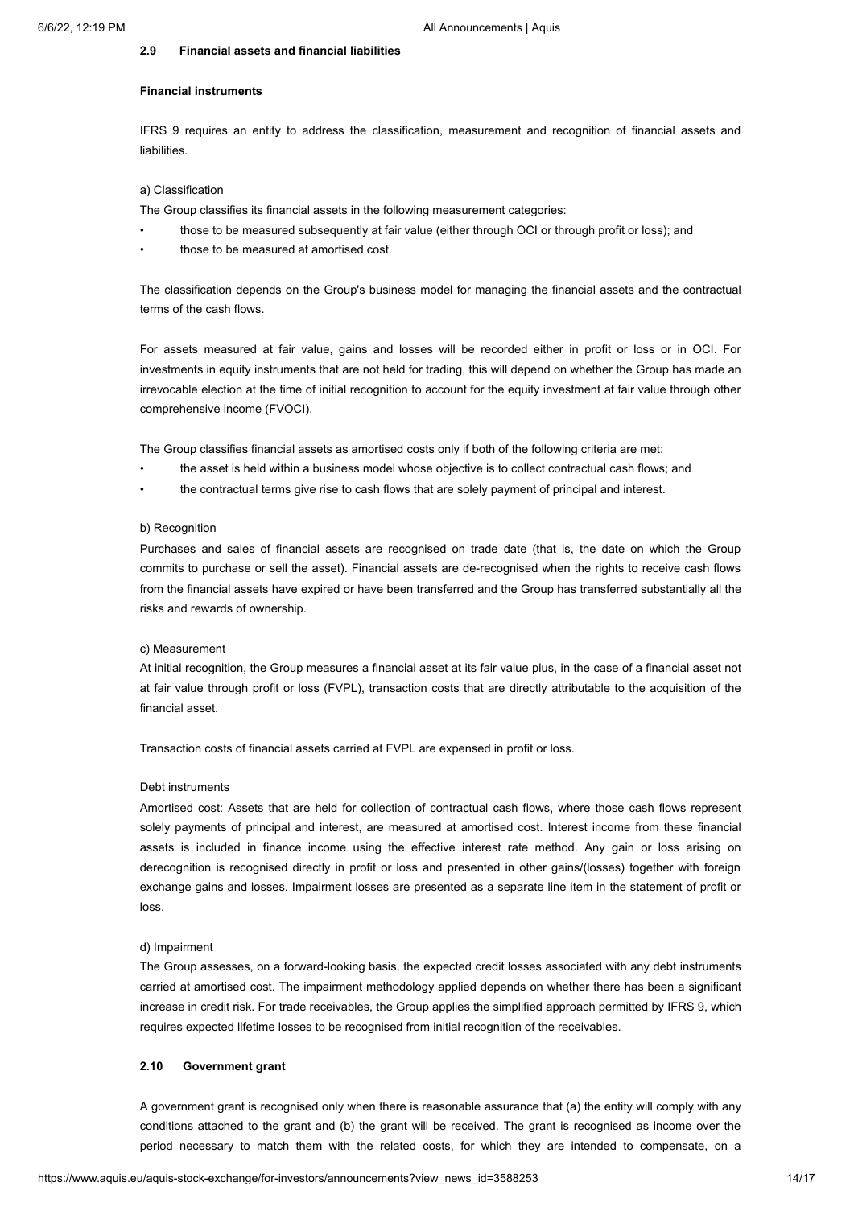#### **2.9 Financial assets and financial liabilities**

# **Financial instruments**

IFRS 9 requires an entity to address the classification, measurement and recognition of financial assets and liabilities.

# a) Classification

The Group classifies its financial assets in the following measurement categories:

- those to be measured subsequently at fair value (either through OCI or through profit or loss); and
- those to be measured at amortised cost.

The classification depends on the Group's business model for managing the financial assets and the contractual terms of the cash flows.

For assets measured at fair value, gains and losses will be recorded either in profit or loss or in OCI. For investments in equity instruments that are not held for trading, this will depend on whether the Group has made an irrevocable election at the time of initial recognition to account for the equity investment at fair value through other comprehensive income (FVOCI).

The Group classifies financial assets as amortised costs only if both of the following criteria are met:

- the asset is held within a business model whose objective is to collect contractual cash flows; and
- the contractual terms give rise to cash flows that are solely payment of principal and interest.

#### b) Recognition

Purchases and sales of financial assets are recognised on trade date (that is, the date on which the Group commits to purchase or sell the asset). Financial assets are de-recognised when the rights to receive cash flows from the financial assets have expired or have been transferred and the Group has transferred substantially all the risks and rewards of ownership.

### c) Measurement

At initial recognition, the Group measures a financial asset at its fair value plus, in the case of a financial asset not at fair value through profit or loss (FVPL), transaction costs that are directly attributable to the acquisition of the financial asset.

Transaction costs of financial assets carried at FVPL are expensed in profit or loss.

#### Debt instruments

Amortised cost: Assets that are held for collection of contractual cash flows, where those cash flows represent solely payments of principal and interest, are measured at amortised cost. Interest income from these financial assets is included in finance income using the effective interest rate method. Any gain or loss arising on derecognition is recognised directly in profit or loss and presented in other gains/(losses) together with foreign exchange gains and losses. Impairment losses are presented as a separate line item in the statement of profit or loss.

#### d) Impairment

The Group assesses, on a forward-looking basis, the expected credit losses associated with any debt instruments carried at amortised cost. The impairment methodology applied depends on whether there has been a significant increase in credit risk. For trade receivables, the Group applies the simplified approach permitted by IFRS 9, which requires expected lifetime losses to be recognised from initial recognition of the receivables.

#### **2.10 Government grant**

A government grant is recognised only when there is reasonable assurance that (a) the entity will comply with any conditions attached to the grant and (b) the grant will be received. The grant is recognised as income over the period necessary to match them with the related costs, for which they are intended to compensate, on a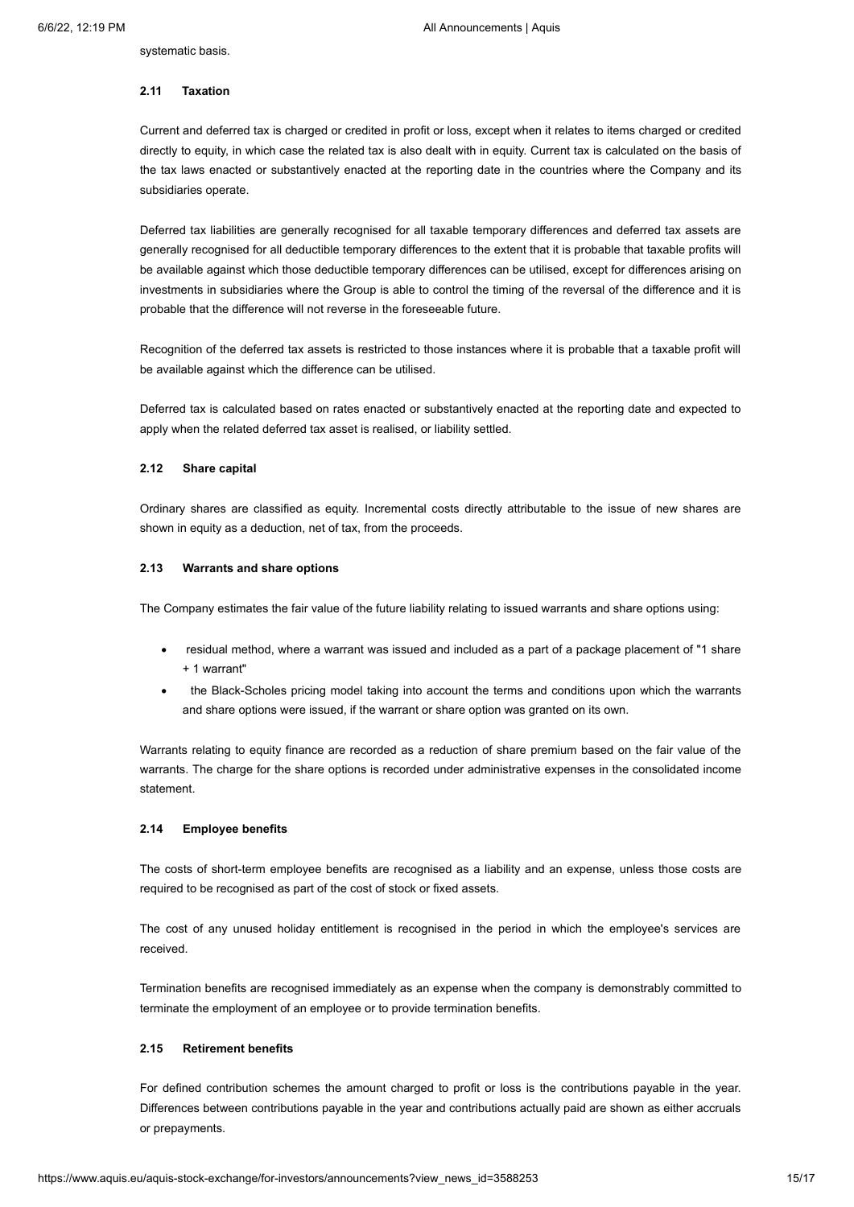systematic basis.

### **2.11 Taxation**

Current and deferred tax is charged or credited in profit or loss, except when it relates to items charged or credited directly to equity, in which case the related tax is also dealt with in equity. Current tax is calculated on the basis of the tax laws enacted or substantively enacted at the reporting date in the countries where the Company and its subsidiaries operate.

Deferred tax liabilities are generally recognised for all taxable temporary differences and deferred tax assets are generally recognised for all deductible temporary differences to the extent that it is probable that taxable profits will be available against which those deductible temporary differences can be utilised, except for differences arising on investments in subsidiaries where the Group is able to control the timing of the reversal of the difference and it is probable that the difference will not reverse in the foreseeable future.

Recognition of the deferred tax assets is restricted to those instances where it is probable that a taxable profit will be available against which the difference can be utilised.

Deferred tax is calculated based on rates enacted or substantively enacted at the reporting date and expected to apply when the related deferred tax asset is realised, or liability settled.

#### **2.12 Share capital**

Ordinary shares are classified as equity. Incremental costs directly attributable to the issue of new shares are shown in equity as a deduction, net of tax, from the proceeds.

#### **2.13 Warrants and share options**

The Company estimates the fair value of the future liability relating to issued warrants and share options using:

- · residual method, where a warrant was issued and included as a part of a package placement of "1 share + 1 warrant"
- the Black-Scholes pricing model taking into account the terms and conditions upon which the warrants and share options were issued, if the warrant or share option was granted on its own.

Warrants relating to equity finance are recorded as a reduction of share premium based on the fair value of the warrants. The charge for the share options is recorded under administrative expenses in the consolidated income statement.

# **2.14 Employee benefits**

The costs of short-term employee benefits are recognised as a liability and an expense, unless those costs are required to be recognised as part of the cost of stock or fixed assets.

The cost of any unused holiday entitlement is recognised in the period in which the employee's services are received.

Termination benefits are recognised immediately as an expense when the company is demonstrably committed to terminate the employment of an employee or to provide termination benefits.

### **2.15 Retirement benefits**

For defined contribution schemes the amount charged to profit or loss is the contributions payable in the year. Differences between contributions payable in the year and contributions actually paid are shown as either accruals or prepayments.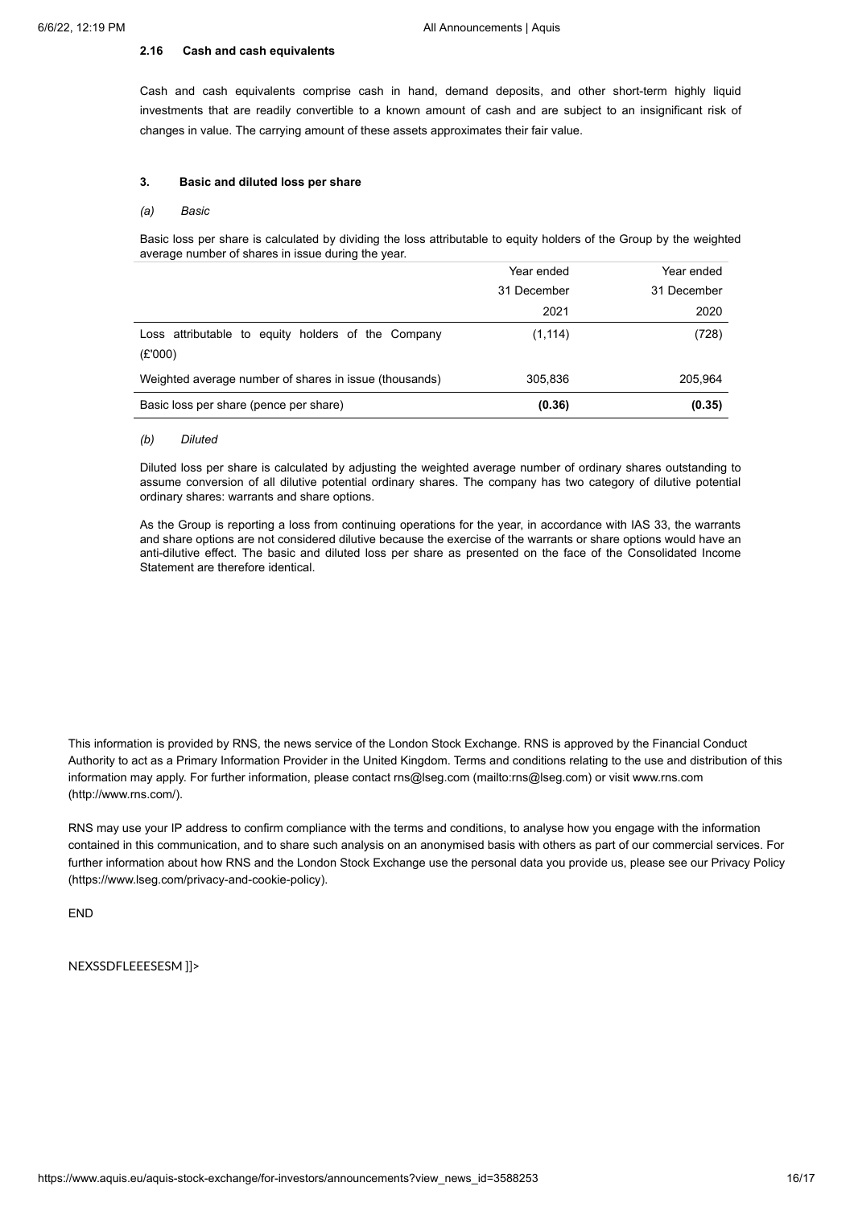### **2.16 Cash and cash equivalents**

Cash and cash equivalents comprise cash in hand, demand deposits, and other short-term highly liquid investments that are readily convertible to a known amount of cash and are subject to an insignificant risk of changes in value. The carrying amount of these assets approximates their fair value.

# **3. Basic and diluted loss per share**

#### *(a) Basic*

Basic loss per share is calculated by dividing the loss attributable to equity holders of the Group by the weighted average number of shares in issue during the year.

|                                                               | Year ended  | Year ended  |
|---------------------------------------------------------------|-------------|-------------|
|                                                               | 31 December | 31 December |
|                                                               | 2021        | 2020        |
| Loss attributable to equity holders of the Company<br>(E'000) | (1, 114)    | (728)       |
| Weighted average number of shares in issue (thousands)        | 305,836     | 205,964     |
| Basic loss per share (pence per share)                        | (0.36)      | (0.35)      |

### *(b) Diluted*

Diluted loss per share is calculated by adjusting the weighted average number of ordinary shares outstanding to assume conversion of all dilutive potential ordinary shares. The company has two category of dilutive potential ordinary shares: warrants and share options.

As the Group is reporting a loss from continuing operations for the year, in accordance with IAS 33, the warrants and share options are not considered dilutive because the exercise of the warrants or share options would have an anti-dilutive effect. The basic and diluted loss per share as presented on the face of the Consolidated Income Statement are therefore identical.

This information is provided by RNS, the news service of the London Stock Exchange. RNS is approved by the Financial Conduct Authority to act as a Primary Information Provider in the United Kingdom. Terms and conditions relating to the use and distribution of this information may apply. For further information, please contact rns@lseg.com [\(mailto:rns@lseg.com](mailto:rns@lseg.com)[\)](http://www.rns.com/) or visit www.rns.com (http://www.rns.com/).

RNS may use your IP address to confirm compliance with the terms and conditions, to analyse how you engage with the information contained in this communication, and to share such analysis on an anonymised basis with others as part of our commercial services. For further information about how RNS and the London Stock Exchange use the personal data you provide us, please see our Privacy Policy [\(https://www.lseg.com/privacy-and-cookie-policy\).](https://www.lseg.com/privacy-and-cookie-policy)

END

NEXSSDFLEEESESM ]]>